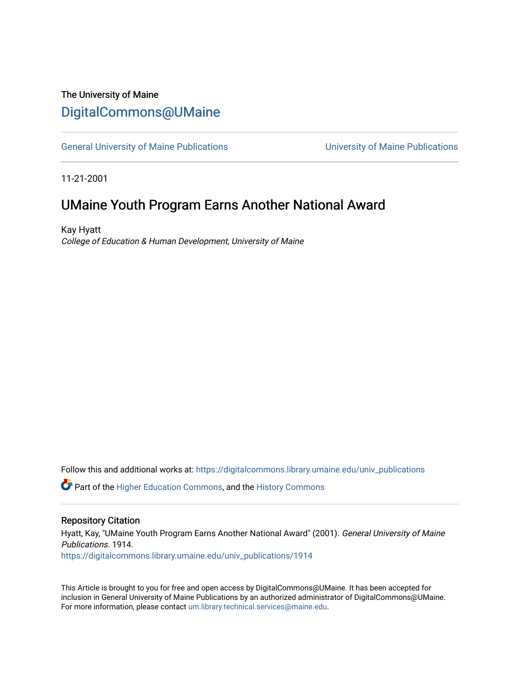### The University of Maine [DigitalCommons@UMaine](https://digitalcommons.library.umaine.edu/)

[General University of Maine Publications](https://digitalcommons.library.umaine.edu/univ_publications) [University of Maine Publications](https://digitalcommons.library.umaine.edu/umaine_publications) 

11-21-2001

### UMaine Youth Program Earns Another National Award

Kay Hyatt College of Education & Human Development, University of Maine

Follow this and additional works at: [https://digitalcommons.library.umaine.edu/univ\\_publications](https://digitalcommons.library.umaine.edu/univ_publications?utm_source=digitalcommons.library.umaine.edu%2Funiv_publications%2F1914&utm_medium=PDF&utm_campaign=PDFCoverPages) 

**C** Part of the [Higher Education Commons,](http://network.bepress.com/hgg/discipline/1245?utm_source=digitalcommons.library.umaine.edu%2Funiv_publications%2F1914&utm_medium=PDF&utm_campaign=PDFCoverPages) and the [History Commons](http://network.bepress.com/hgg/discipline/489?utm_source=digitalcommons.library.umaine.edu%2Funiv_publications%2F1914&utm_medium=PDF&utm_campaign=PDFCoverPages)

#### Repository Citation

Hyatt, Kay, "UMaine Youth Program Earns Another National Award" (2001). General University of Maine Publications. 1914. [https://digitalcommons.library.umaine.edu/univ\\_publications/1914](https://digitalcommons.library.umaine.edu/univ_publications/1914?utm_source=digitalcommons.library.umaine.edu%2Funiv_publications%2F1914&utm_medium=PDF&utm_campaign=PDFCoverPages)

This Article is brought to you for free and open access by DigitalCommons@UMaine. It has been accepted for inclusion in General University of Maine Publications by an authorized administrator of DigitalCommons@UMaine. For more information, please contact [um.library.technical.services@maine.edu](mailto:um.library.technical.services@maine.edu).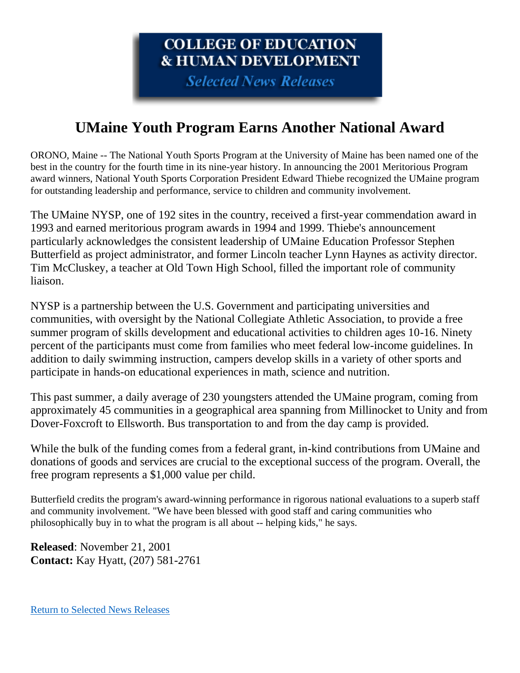# **COLLEGE OF EDUCATION & HUMAN DEVELOPMENT**

**Selected News Releases** 

# **UMaine Youth Program Earns Another National Award**

ORONO, Maine -- The National Youth Sports Program at the University of Maine has been named one of the best in the country for the fourth time in its nine-year history. In announcing the 2001 Meritorious Program award winners, National Youth Sports Corporation President Edward Thiebe recognized the UMaine program for outstanding leadership and performance, service to children and community involvement.

The UMaine NYSP, one of 192 sites in the country, received a first-year commendation award in 1993 and earned meritorious program awards in 1994 and 1999. Thiebe's announcement particularly acknowledges the consistent leadership of UMaine Education Professor Stephen Butterfield as project administrator, and former Lincoln teacher Lynn Haynes as activity director. Tim McCluskey, a teacher at Old Town High School, filled the important role of community liaison.

NYSP is a partnership between the U.S. Government and participating universities and communities, with oversight by the National Collegiate Athletic Association, to provide a free summer program of skills development and educational activities to children ages 10-16. Ninety percent of the participants must come from families who meet federal low-income guidelines. In addition to daily swimming instruction, campers develop skills in a variety of other sports and participate in hands-on educational experiences in math, science and nutrition.

This past summer, a daily average of 230 youngsters attended the UMaine program, coming from approximately 45 communities in a geographical area spanning from Millinocket to Unity and from Dover-Foxcroft to Ellsworth. Bus transportation to and from the day camp is provided.

While the bulk of the funding comes from a federal grant, in-kind contributions from UMaine and donations of goods and services are crucial to the exceptional success of the program. Overall, the free program represents a \$1,000 value per child.

Butterfield credits the program's award-winning performance in rigorous national evaluations to a superb staff and community involvement. "We have been blessed with good staff and caring communities who philosophically buy in to what the program is all about -- helping kids," he says.

**Released**: November 21, 2001 **Contact:** Kay Hyatt, (207) 581-2761